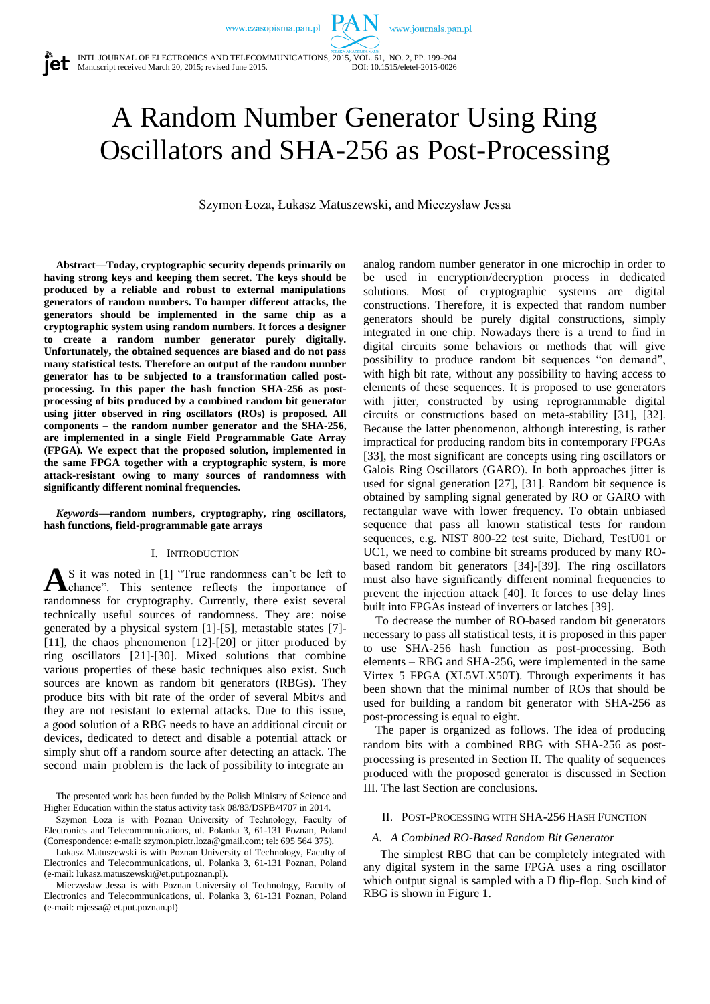www.journals.pan.pl

INTL JOURNAL OF ELECTRONICS AND TELECOMMUNICATIONS, 2015, VOL. 61, NO. 2, PP. 199–204  $\bullet$  Manuscript received March 20, 2015; revised June 2015.

# A Random Number Generator Using Ring Oscillators and SHA-256 as Post-Processing

Szymon Łoza, Łukasz Matuszewski, and Mieczysław Jessa

**Abstract—Today, cryptographic security depends primarily on having strong keys and keeping them secret. The keys should be produced by a reliable and robust to external manipulations generators of random numbers. To hamper different attacks, the generators should be implemented in the same chip as a cryptographic system using random numbers. It forces a designer to create a random number generator purely digitally. Unfortunately, the obtained sequences are biased and do not pass many statistical tests. Therefore an output of the random number generator has to be subjected to a transformation called postprocessing. In this paper the hash function SHA-256 as postprocessing of bits produced by a combined random bit generator using jitter observed in ring oscillators (ROs) is proposed. All components – the random number generator and the SHA-256, are implemented in a single Field Programmable Gate Array (FPGA). We expect that the proposed solution, implemented in the same FPGA together with a cryptographic system, is more attack-resistant owing to many sources of randomness with significantly different nominal frequencies.**

*Keywords***—random numbers, cryptography, ring oscillators, hash functions, field-programmable gate arrays**

## I. INTRODUCTION

S it was noted in [1] "True randomness can't be left to As it was noted in [1] "True randomness can't be left to chance". This sentence reflects the importance of randomness for cryptography. Currently, there exist several technically useful sources of randomness. They are: noise generated by a physical system [1]-[5], metastable states [7]- [11], the chaos phenomenon [12]-[20] or jitter produced by ring oscillators [21]-[30]. Mixed solutions that combine various properties of these basic techniques also exist. Such sources are known as random bit generators (RBGs). They produce bits with bit rate of the order of several Mbit/s and they are not resistant to external attacks. Due to this issue, a good solution of a RBG needs to have an additional circuit or devices, dedicated to detect and disable a potential attack or simply shut off a random source after detecting an attack. The second main problem is the lack of possibility to integrate an

The presented work has been funded by the Polish Ministry of Science and Higher Education within the status activity task 08/83/DSPB/4707 in 2014.

Szymon Łoza is with Poznan University of Technology, Faculty of Electronics and Telecommunications, ul. Polanka 3, 61-131 Poznan, Poland (Correspondence: e-mail[: szymon.piotr.loza@gmail.com;](mailto:szymon.piotr.loza@gmail.com) tel: 695 564 375).

Lukasz Matuszewski is with Poznan University of Technology, Faculty of Electronics and Telecommunications, ul. Polanka 3, 61-131 Poznan, Poland (e-mail[: lukasz.matuszewski@et.put.poznan.pl\)](mailto:lukasz.matuszewski@et.put.poznan.pl).

Mieczyslaw Jessa is with Poznan University of Technology, Faculty of Electronics and Telecommunications, ul. Polanka 3, 61-131 Poznan, Poland (e-mail: mjessa@ et.put.poznan.pl)

analog random number generator in one microchip in order to be used in encryption/decryption process in dedicated solutions. Most of cryptographic systems are digital constructions. Therefore, it is expected that random number generators should be purely digital constructions, simply integrated in one chip. Nowadays there is a trend to find in digital circuits some behaviors or methods that will give possibility to produce random bit sequences "on demand", with high bit rate, without any possibility to having access to elements of these sequences. It is proposed to use generators with jitter, constructed by using reprogrammable digital circuits or constructions based on meta-stability [31], [32]. Because the latter phenomenon, although interesting, is rather impractical for producing random bits in contemporary FPGAs [33], the most significant are concepts using ring oscillators or Galois Ring Oscillators (GARO). In both approaches jitter is used for signal generation [27], [31]. Random bit sequence is obtained by sampling signal generated by RO or GARO with rectangular wave with lower frequency. To obtain unbiased sequence that pass all known statistical tests for random sequences, e.g. NIST 800-22 test suite, Diehard, TestU01 or UC1, we need to combine bit streams produced by many RObased random bit generators [34]-[39]. The ring oscillators must also have significantly different nominal frequencies to prevent the injection attack [40]. It forces to use delay lines built into FPGAs instead of inverters or latches [39].

To decrease the number of RO-based random bit generators necessary to pass all statistical tests, it is proposed in this paper to use SHA-256 hash function as post-processing. Both elements – RBG and SHA-256, were implemented in the same Virtex 5 FPGA (XL5VLX50T). Through experiments it has been shown that the minimal number of ROs that should be used for building a random bit generator with SHA-256 as post-processing is equal to eight.

The paper is organized as follows. The idea of producing random bits with a combined RBG with SHA-256 as postprocessing is presented in Section II. The quality of sequences produced with the proposed generator is discussed in Section III. The last Section are conclusions.

# II. POST-PROCESSING WITH SHA-256 HASH FUNCTION

## *A. A Combined RO-Based Random Bit Generator*

The simplest RBG that can be completely integrated with any digital system in the same FPGA uses a ring oscillator which output signal is sampled with a D flip-flop. Such kind of RBG is shown in Figure 1.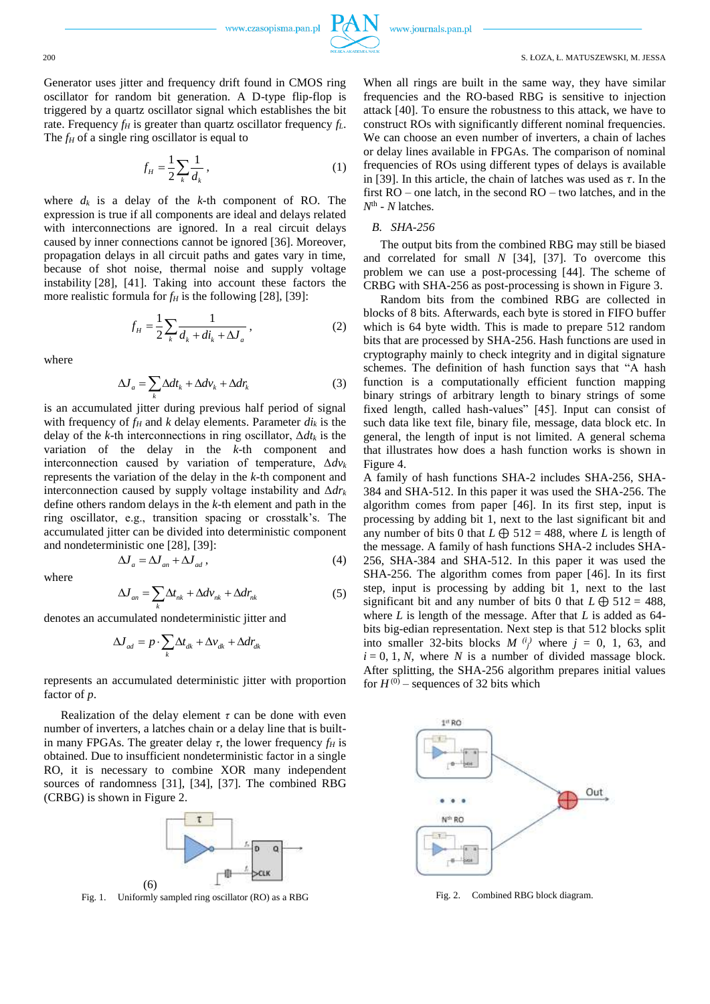

Generator uses jitter and frequency drift found in CMOS ring oscillator for random bit generation. A D-type flip-flop is triggered by a quartz oscillator signal which establishes the bit rate. Frequency  $f_H$  is greater than quartz oscillator frequency  $f_L$ . The *f<sub>H</sub>* of a single ring oscillator is equal to

$$
f_H = \frac{1}{2} \sum_{k} \frac{1}{d_k},
$$
 (1)

where  $d_k$  is a delay of the  $k$ -th component of RO. The expression is true if all components are ideal and delays related with interconnections are ignored. In a real circuit delays caused by inner connections cannot be ignored [36]. Moreover, propagation delays in all circuit paths and gates vary in time, because of shot noise, thermal noise and supply voltage instability [28], [41]. Taking into account these factors the more realistic formula for  $f_H$  is the following [28], [39]:

$$
f_H = \frac{1}{2} \sum_{k} \frac{1}{d_k + d i_k + \Delta J_a},
$$
 (2)

where

$$
\Delta J_a = \sum_k \Delta dt_k + \Delta dv_k + \Delta dr_k \tag{3}
$$

is an accumulated jitter during previous half period of signal with frequency of  $f_H$  and  $k$  delay elements. Parameter  $di_k$  is the delay of the *k*-th interconnections in ring oscillator, Δ*dt<sup>k</sup>* is the variation of the delay in the *k*-th component and interconnection caused by variation of temperature, Δ*dv<sup>k</sup>* represents the variation of the delay in the *k*-th component and interconnection caused by supply voltage instability and Δ*dr<sup>k</sup>* define others random delays in the *k*-th element and path in the ring oscillator, e.g., transition spacing or crosstalk's. The accumulated jitter can be divided into deterministic component and nondeterministic one [28], [39]:

where

$$
\Delta J_{an} = \sum_{k} \Delta t_{nk} + \Delta d v_{nk} + \Delta d r_{nk}
$$
 (5)

 $\Delta J_a = \Delta J_{an} + \Delta J_{ad}$ , (4)

denotes an accumulated nondeterministic jitter and

$$
\Delta J_{ad} = p \cdot \sum_{k} \Delta t_{dk} + \Delta v_{dk} + \Delta dr_{dk}
$$

represents an accumulated deterministic jitter with proportion factor of *p*.

Realization of the delay element  $\tau$  can be done with even number of inverters, a latches chain or a delay line that is builtin many FPGAs. The greater delay  $\tau$ , the lower frequency  $f_H$  is obtained. Due to insufficient nondeterministic factor in a single RO, it is necessary to combine XOR many independent sources of randomness [31], [34], [37]. The combined RBG (CRBG) is shown in Figure 2.



Fig. 1. Uniformly sampled ring oscillator (RO) as a RBG

When all rings are built in the same way, they have similar frequencies and the RO-based RBG is sensitive to injection attack [40]. To ensure the robustness to this attack, we have to construct ROs with significantly different nominal frequencies. We can choose an even number of inverters, a chain of laches or delay lines available in FPGAs. The comparison of nominal frequencies of ROs using different types of delays is available in [39]. In this article, the chain of latches was used as *τ*. In the first RO – one latch, in the second RO – two latches, and in the *N* th - *N* latches.

#### *B. SHA-256*

The output bits from the combined RBG may still be biased and correlated for small *N* [34], [37]. To overcome this problem we can use a post-processing [44]. The scheme of CRBG with SHA-256 as post-processing is shown in Figure 3.

Random bits from the combined RBG are collected in blocks of 8 bits. Afterwards, each byte is stored in FIFO buffer which is 64 byte width. This is made to prepare 512 random bits that are processed by SHA-256. Hash functions are used in cryptography mainly to check integrity and in digital signature schemes. The definition of hash function says that "A hash function is a computationally efficient function mapping binary strings of arbitrary length to binary strings of some fixed length, called hash-values" [45]. Input can consist of such data like text file, binary file, message, data block etc. In general, the length of input is not limited. A general schema that illustrates how does a hash function works is shown in Figure 4.

A family of hash functions SHA-2 includes SHA-256, SHA-384 and SHA-512. In this paper it was used the SHA-256. The algorithm comes from paper [46]. In its first step, input is processing by adding bit 1, next to the last significant bit and any number of bits 0 that  $L \oplus 512 = 488$ , where *L* is length of the message. A family of hash functions SHA-2 includes SHA-256, SHA-384 and SHA-512. In this paper it was used the SHA-256. The algorithm comes from paper [46]. In its first step, input is processing by adding bit 1, next to the last significant bit and any number of bits 0 that  $L \oplus 512 = 488$ , where *L* is length of the message. After that *L* is added as 64 bits big-edian representation. Next step is that 512 blocks split into smaller 32-bits blocks  $M^{(i)}$  where  $j = 0, 1, 63,$  and  $i = 0, 1, N$ , where *N* is a number of divided massage block. After splitting, the SHA-256 algorithm prepares initial values for  $H^{(0)}$  – sequences of 32 bits which



Fig. 2. Combined RBG block diagram.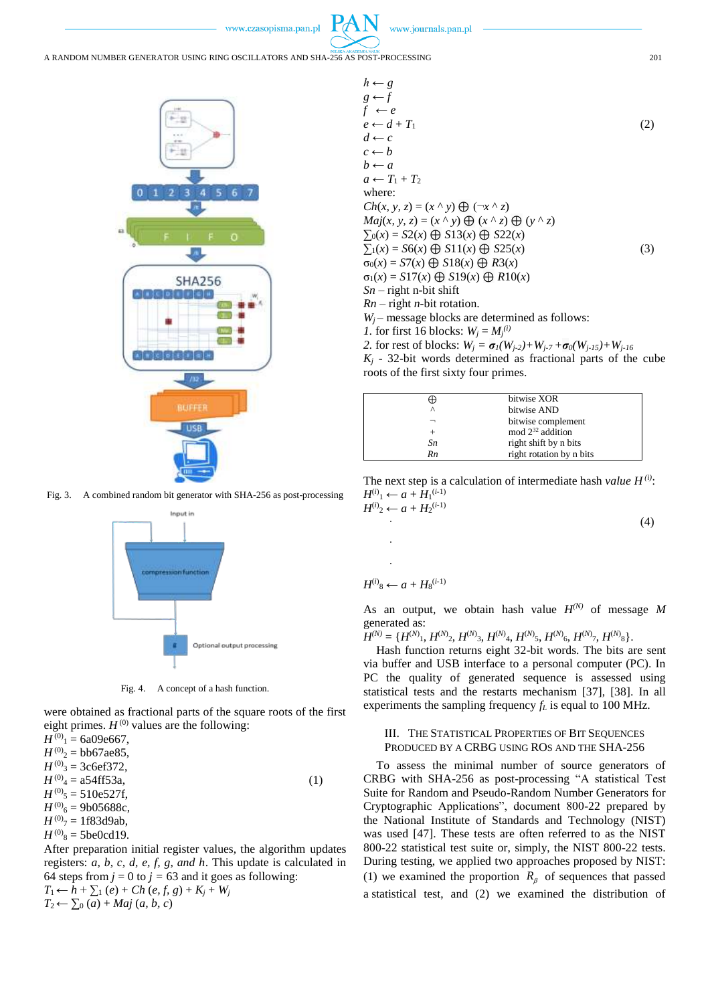A RANDOM NUMBER GENERATOR USING RING OSCILLATORS AND SHA-256 AS POST-PROCESSING 201



Fig. 3. A combined random bit generator with SHA-256 as post-processing



Fig. 4. A concept of a hash function.

were obtained as fractional parts of the square roots of the first eight primes.  $H^{(0)}$  values are the following:

 $H^{(0)}$ <sub>1</sub> = 6a09e667,  $H^{(0)}_{2} = \text{bb6}$ 67ae85,  $H^{(0)}$ <sub>3</sub> = 3c6ef372,  $H^{(0)}_{4} = 254 \text{ff} 53a,$  (1)  $H^{(0)}$ <sub>5</sub> = 510e527f,  $H^{(0)}$ <sub>6</sub> = 9b05688c,  $H^{(0)}$ <sub>7</sub> = 1f83d9ab,  $H^{(0)}$ <sub>8</sub> = 5be0cd19. After preparation initial register values, the algorithm updates

registers: *a, b, c, d, e, f, g, and h*. This update is calculated in 64 steps from  $j = 0$  to  $j = 63$  and it goes as following: *T*<sub>1</sub> ← *h* +  $\sum$ <sub>1</sub> (*e*) + *Ch* (*e, f, g*) + *K<sub>j</sub>* + *W<sub>j</sub>*  $T_2 \leftarrow \sum_0 (a) + Maj(a, b, c)$ 

$$
h \leftarrow g
$$
  
\n
$$
g \leftarrow f
$$
  
\n
$$
f \leftarrow e
$$
  
\n
$$
e \leftarrow d + T_1
$$
  
\n
$$
d \leftarrow c
$$
  
\n
$$
c \leftarrow b
$$
  
\n
$$
b \leftarrow a
$$
  
\n
$$
a \leftarrow T_1 + T_2
$$
  
\nwhere:  
\n
$$
Ch(x, y, z) = (x \land y) \bigoplus (\neg x \land z)
$$
  
\n
$$
Maj(x, y, z) = (x \land y) \bigoplus (x \land z) \bigoplus (y \land z)
$$
  
\n
$$
\sum_0(x) = S2(x) \bigoplus S13(x) \bigoplus S22(x)
$$
  
\n
$$
\sum_1(x) = S6(x) \bigoplus S11(x) \bigoplus S25(x)
$$
  
\n
$$
\sigma_0(x) = ST(x) \bigoplus S19(x) \bigoplus R3(x)
$$
  
\n
$$
\sigma_1(x) = S17(x) \bigoplus S19(x) \bigoplus R10(x)
$$
  
\n
$$
Sn - right n-bit rotation.
$$
  
\n
$$
W_j - message blocks are determined as follows:\n1. for first 16 blocks:  $W_j = M_j^{(i)}$   
\n
$$
W_j = \text{maxage blocks}
$$
$$

2. for rest of blocks:  $W_j = \sigma_1(W_{j-2}) + W_{j-7} + \sigma_0(W_{j-15}) + W_{j-16}$  $K_j$  - 32-bit words determined as fractional parts of the cube roots of the first sixty four primes.



The next step is a calculation of intermediate hash *value H (i)*:  $H^{(i)}_1 \leftarrow a + H_1^{(i-1)}$  $H^{(i)}_2 \leftarrow a + H_2^{(i-1)}$ 

 $\hspace{1.6cm} (4)$ 

$$
H^{(i)}\mathbf{S} \leftarrow a + H\mathbf{S}^{(i-1)}
$$

· ·

As an output, we obtain hash value  $H^{(N)}$  of message M generated as:

 $H^{(N)} = \{H^{(N)}_1, H^{(N)}_2, H^{(N)}_3, H^{(N)}_4, H^{(N)}_5, H^{(N)}_6, H^{(N)}_7, H^{(N)}_8\}.$ 

Hash function returns eight 32-bit words. The bits are sent via buffer and USB interface to a personal computer (PC). In PC the quality of generated sequence is assessed using statistical tests and the restarts mechanism [37], [38]. In all experiments the sampling frequency *f<sup>L</sup>* is equal to 100 MHz.

## III. THE STATISTICAL PROPERTIES OF BIT SEQUENCES PRODUCED BY A CRBG USING ROS AND THE SHA-256

To assess the minimal number of source generators of CRBG with SHA-256 as post-processing "A statistical Test Suite for Random and Pseudo-Random Number Generators for Cryptographic Applications", document 800-22 prepared by the National Institute of Standards and Technology (NIST) was used [47]. These tests are often referred to as the NIST 800-22 statistical test suite or, simply, the NIST 800-22 tests. During testing, we applied two approaches proposed by NIST: (1) we examined the proportion  $R_\beta$  of sequences that passed a statistical test, and (2) we examined the distribution of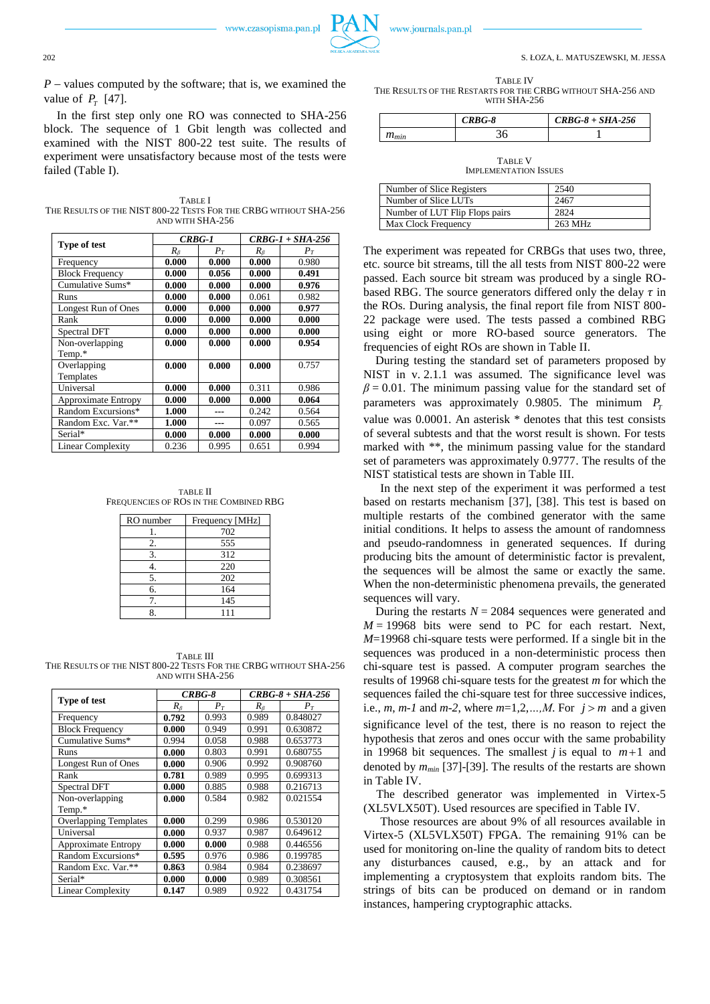

TABLE IV

THE RESULTS OF THE RESTARTS FOR THE CRBG WITHOUT SHA-256 AND WITH SHA-256

|           | $CRBG-8$ | $CRBG-8 + SHA-256$ |
|-----------|----------|--------------------|
| $m_{min}$ |          |                    |

TABLE V IMPLEMENTATION ISSUES

| Number of Slice Registers      | 2540    |
|--------------------------------|---------|
| Number of Slice LUTs           | 2467    |
| Number of LUT Flip Flops pairs | 2824    |
| Max Clock Frequency            | 263 MHz |

The experiment was repeated for CRBGs that uses two, three, etc. source bit streams, till the all tests from NIST 800-22 were passed. Each source bit stream was produced by a single RObased RBG. The source generators differed only the delay *τ* in the ROs. During analysis, the final report file from NIST 800- 22 package were used. The tests passed a combined RBG using eight or more RO-based source generators. The frequencies of eight ROs are shown in Table II.

During testing the standard set of parameters proposed by NIST in v. 2.1.1 was assumed. The significance level was  $\beta$  = 0.01. The minimum passing value for the standard set of parameters was approximately 0.9805. The minimum  $P_1$ value was 0.0001. An asterisk \* denotes that this test consists of several subtests and that the worst result is shown. For tests marked with \*\*, the minimum passing value for the standard set of parameters was approximately 0.9777. The results of the NIST statistical tests are shown in Table III.

In the next step of the experiment it was performed a test based on restarts mechanism [37], [38]. This test is based on multiple restarts of the combined generator with the same initial conditions. It helps to assess the amount of randomness and pseudo-randomness in generated sequences. If during producing bits the amount of deterministic factor is prevalent, the sequences will be almost the same or exactly the same. When the non-deterministic phenomena prevails, the generated sequences will vary.

During the restarts  $N = 2084$  sequences were generated and  $M = 19968$  bits were send to PC for each restart. Next, *M*=19968 chi-square tests were performed. If a single bit in the sequences was produced in a non-deterministic process then chi-square test is passed. A computer program searches the results of 19968 chi-square tests for the greatest *m* for which the sequences failed the chi-square test for three successive indices, i.e.,  $m$ ,  $m-1$  and  $m-2$ , where  $m=1,2,...,M$ . For  $j > m$  and a given significance level of the test, there is no reason to reject the hypothesis that zeros and ones occur with the same probability in 19968 bit sequences. The smallest *j* is equal to  $m+1$  and denoted by *mmin* [37]-[39]. The results of the restarts are shown in Table IV.

The described generator was implemented in Virtex-5 (XL5VLX50T). Used resources are specified in Table IV.

Those resources are about 9% of all resources available in Virtex-5 (XL5VLX50T) FPGA. The remaining 91% can be used for monitoring on-line the quality of random bits to detect any disturbances caused, e.g., by an attack and for implementing a cryptosystem that exploits random bits. The strings of bits can be produced on demand or in random instances, hampering cryptographic attacks.

 $P$  – values computed by the software; that is, we examined the value of  $P_T$  [47].

In the first step only one RO was connected to SHA-256 block. The sequence of 1 Gbit length was collected and examined with the NIST 800-22 test suite. The results of experiment were unsatisfactory because most of the tests were failed (Table I).

TABLE I THE RESULTS OF THE NIST 800-22 TESTS FOR THE CRBG WITHOUT SHA-256 AND WITH SHA-256

| Type of test             | <b>CRBG-1</b> |       | $CRBG-1 + SHA-256$ |       |
|--------------------------|---------------|-------|--------------------|-------|
|                          | $R_{\beta}$   | $P_T$ | $R_{\beta}$        | $P_T$ |
| Frequency                | 0.000         | 0.000 | 0.000              | 0.980 |
| <b>Block Frequency</b>   | 0.000         | 0.056 | 0.000              | 0.491 |
| Cumulative Sums*         | 0.000         | 0.000 | 0.000              | 0.976 |
| Runs                     | 0.000         | 0.000 | 0.061              | 0.982 |
| Longest Run of Ones      | 0.000         | 0.000 | 0.000              | 0.977 |
| Rank                     | 0.000         | 0.000 | 0.000              | 0.000 |
| <b>Spectral DFT</b>      | 0.000         | 0.000 | 0.000              | 0.000 |
| Non-overlapping          | 0.000         | 0.000 | 0.000              | 0.954 |
| Temp.*                   |               |       |                    |       |
| Overlapping              | 0.000         | 0.000 | 0.000              | 0.757 |
| Templates                |               |       |                    |       |
| Universal                | 0.000         | 0.000 | 0.311              | 0.986 |
| Approximate Entropy      | 0.000         | 0.000 | 0.000              | 0.064 |
| Random Excursions*       | 1.000         |       | 0.242              | 0.564 |
| Random Exc. Var.**       | 1.000         |       | 0.097              | 0.565 |
| Serial*                  | 0.000         | 0.000 | 0.000              | 0.000 |
| <b>Linear Complexity</b> | 0.236         | 0.995 | 0.651              | 0.994 |

TABLE II FREQUENCIES OF ROS IN THE COMBINED RBG

| RO number | Frequency [MHz] |
|-----------|-----------------|
|           | 702             |
| 2.        | 555             |
| 3.        | 312             |
|           | 220             |
| 5.        | 202             |
| 6.        | 164             |
| 7         | 145             |
|           | 111             |

TABLE III THE RESULTS OF THE NIST 800-22 TESTS FOR THE CRBG WITHOUT SHA-256 AND WITH SHA-256

| Type of test                 | $CRBG-8$    |       | $CRBG-8 + SHA-256$ |          |
|------------------------------|-------------|-------|--------------------|----------|
|                              | $R_{\beta}$ | $P_T$ | $R_{\beta}$        | $P_T$    |
| Frequency                    | 0.792       | 0.993 | 0.989              | 0.848027 |
| <b>Block Frequency</b>       | 0.000       | 0.949 | 0.991              | 0.630872 |
| Cumulative Sums*             | 0.994       | 0.058 | 0.988              | 0.653773 |
| Runs                         | 0.000       | 0.803 | 0.991              | 0.680755 |
| Longest Run of Ones          | 0.000       | 0.906 | 0.992              | 0.908760 |
| Rank                         | 0.781       | 0.989 | 0.995              | 0.699313 |
| Spectral DFT                 | 0.000       | 0.885 | 0.988              | 0.216713 |
| Non-overlapping              | 0.000       | 0.584 | 0.982              | 0.021554 |
| Temp.*                       |             |       |                    |          |
| <b>Overlapping Templates</b> | 0.000       | 0.299 | 0.986              | 0.530120 |
| Universal                    | 0.000       | 0.937 | 0.987              | 0.649612 |
| <b>Approximate Entropy</b>   | 0.000       | 0.000 | 0.988              | 0.446556 |
| Random Excursions*           | 0.595       | 0.976 | 0.986              | 0.199785 |
| Random Exc. Var.**           | 0.863       | 0.984 | 0.984              | 0.238697 |
| Serial*                      | 0.000       | 0.000 | 0.989              | 0.308561 |
| <b>Linear Complexity</b>     | 0.147       | 0.989 | 0.922              | 0.431754 |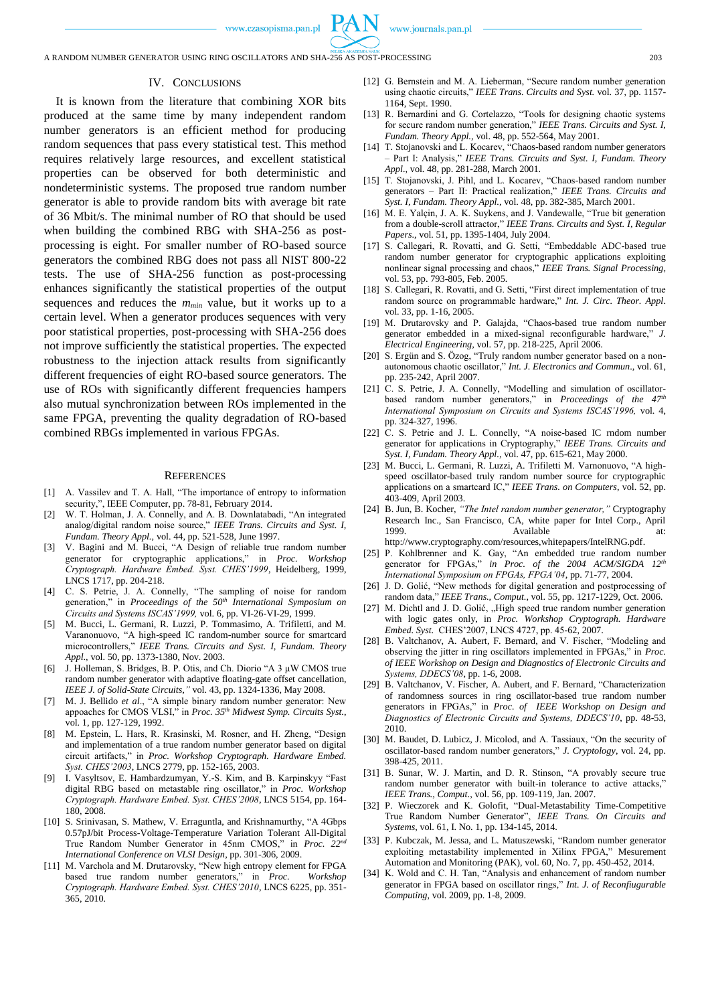www.journals.pan.pl

### IV. CONCLUSIONS

It is known from the literature that combining XOR bits produced at the same time by many independent random number generators is an efficient method for producing random sequences that pass every statistical test. This method requires relatively large resources, and excellent statistical properties can be observed for both deterministic and nondeterministic systems. The proposed true random number generator is able to provide random bits with average bit rate of 36 Mbit/s. The minimal number of RO that should be used when building the combined RBG with SHA-256 as postprocessing is eight. For smaller number of RO-based source generators the combined RBG does not pass all NIST 800-22 tests. The use of SHA-256 function as post-processing enhances significantly the statistical properties of the output sequences and reduces the *mmin* value, but it works up to a certain level. When a generator produces sequences with very poor statistical properties, post-processing with SHA-256 does not improve sufficiently the statistical properties. The expected robustness to the injection attack results from significantly different frequencies of eight RO-based source generators. The use of ROs with significantly different frequencies hampers also mutual synchronization between ROs implemented in the same FPGA, preventing the quality degradation of RO-based combined RBGs implemented in various FPGAs.

#### **REFERENCES**

- [1] A. Vassilev and T. A. Hall, "The importance of entropy to information security,", IEEE Computer, pp. 78-81, February 2014.
- W. T. Holman, J. A. Connelly, and A. B. Downlatabadi, "An integrated analog/digital random noise source," *IEEE Trans. Circuits and Syst. I, Fundam. Theory Appl.,* vol. 44, pp. 521-528, June 1997.
- [3] V. Bagini and M. Bucci, "A Design of reliable true random number generator for cryptographic applications," in *Proc. Workshop Cryptograph. Hardware Embed. Syst. CHES'1999*, Heidelberg, 1999, LNCS 1717, pp. 204-218.
- [4] C. S. Petrie, J. A. Connelly, "The sampling of noise for random generation," in *Proceedings of the 50th International Symposium on Circuits and Systems ISCAS'1999,* vol. 6, pp. VI-26-VI-29, 1999.
- [5] M. Bucci, L. Germani, R. Luzzi, P. Tommasimo, A. Trifiletti, and M. Varanonuovo, "A high-speed IC random-number source for smartcard microcontrollers," *IEEE Trans. Circuits and Syst. I, Fundam. Theory Appl.,* vol. 50, pp. 1373-1380, Nov. 2003.
- [6] J. Holleman, S. Bridges, B. P. Otis, and Ch. Diorio "A 3 μW CMOS true random number generator with adaptive floating-gate offset cancellation, *IEEE J. of Solid-State Circuits*,*"* vol. 43, pp. 1324-1336, May 2008.
- [7] M. J. Bellido *et al*., "A simple binary random number generator: New appoaches for CMOS VLSI," in *Proc. 35th Midwest Symp. Circuits Syst.*, vol. 1, pp. 127-129, 1992.
- [8] M. Epstein, L. Hars, R. Krasinski, M. Rosner, and H. Zheng, "Design and implementation of a true random number generator based on digital circuit artifacts," in *Proc. Workshop Cryptograph. Hardware Embed. Syst. CHES'2003*, LNCS 2779, pp. 152-165, 2003.
- [9] I. Vasyltsov, E. Hambardzumyan, Y.-S. Kim, and B. Karpinskyy "Fast digital RBG based on metastable ring oscillator," in *Proc. Workshop Cryptograph. Hardware Embed. Syst. CHES'2008*, LNCS 5154, pp. 164- 180, 2008.
- [10] S. Srinivasan, S. Mathew, V. Erraguntla, and Krishnamurthy, "A 4Gbps 0.57pJ/bit Process-Voltage-Temperature Variation Tolerant All-Digital True Random Number Generator in 45nm CMOS," in *Proc. 22nd International Conference on VLSI Design*, pp. 301-306, 2009.
- [11] M. Varchola and M. Drutarovsky, "New high entropy element for FPGA based true random number generators," in *Proc. Workshop Cryptograph. Hardware Embed. Syst. CHES'2010*, LNCS 6225, pp. 351- 365, 2010.
- [12] G. Bernstein and M. A. Lieberman, "Secure random number generation using chaotic circuits," *IEEE Trans. Circuits and Syst.* vol. 37, pp. 1157- 1164, Sept. 1990.
- [13] R. Bernardini and G. Cortelazzo, "Tools for designing chaotic systems for secure random number generation," *IEEE Trans. Circuits and Syst. I, Fundam. Theory Appl.,* vol. 48, pp. 552-564, May 2001.
- [14] T. Stojanovski and L. Kocarev, "Chaos-based random number generators – Part I: Analysis," *IEEE Trans. Circuits and Syst. I, Fundam. Theory Appl.,* vol. 48, pp. 281-288, March 2001.
- [15] T. Stojanovski, J. Pihl, and L. Kocarev, "Chaos-based random number generators – Part II: Practical realization," *IEEE Trans. Circuits and Syst. I, Fundam. Theory Appl.,* vol. 48, pp. 382-385, March 2001.
- [16] M. E. Yalçin, J. A. K. Suykens, and J. Vandewalle, "True bit generation from a double-scroll attractor," *IEEE Trans. Circuits and Syst. I, Regular Papers.,* vol. 51, pp. 1395-1404, July 2004.
- [17] S. Callegari, R. Rovatti, and G. Setti, "Embeddable ADC-based true random number generator for cryptographic applications exploiting nonlinear signal processing and chaos," *IEEE Trans. Signal Processing,* vol. 53, pp. 793-805, Feb. 2005.
- [18] S. Callegari, R. Rovatti, and G. Setti, "First direct implementation of true random source on programmable hardware," *Int. J. Circ. Theor. Appl*. vol. 33, pp. 1-16, 2005.
- [19] M. Drutarovsky and P. Galajda, "Chaos-based true random number generator embedded in a mixed-signal reconfigurable hardware," *J. Electrical Engineering,* vol. 57, pp. 218-225, April 2006.
- [20] S. Ergün and S. Özog, "Truly random number generator based on a nonautonomous chaotic oscillator," *Int. J. Electronics and Commun*., vol. 61, pp. 235-242, April 2007.
- [21] C. S. Petrie, J. A. Connelly, "Modelling and simulation of oscillatorbased random number generators," in *Proceedings of the 47th International Symposium on Circuits and Systems ISCAS'1996,* vol. 4, pp. 324-327, 1996.
- [22] C. S. Petrie and J. L. Connelly, "A noise-based IC rndom number generator for applications in Cryptography," *IEEE Trans. Circuits and Syst. I, Fundam. Theory Appl.,* vol. 47, pp. 615-621, May 2000.
- [23] M. Bucci, L. Germani, R. Luzzi, A. Trifiletti M. Varnonuovo, "A highspeed oscillator-based truly random number source for cryptographic applications on a smartcard IC," *IEEE Trans. on Computers*, vol. 52, pp. 403-409, April 2003.
- [24] B. Jun, B. Kocher, *"The Intel random number generator,"* Cryptography Research Inc., San Francisco, CA, white paper for Intel Corp., April 1999. Available [http://www.cryptography.com/resources,whitepapers/IntelRNG.pdf.](http://www.cryptography.com/resources,whitepapers/IntelRNG.pdf)
- [25] P. Kohlbrenner and K. Gay, "An embedded true random number generator for FPGAs," *in Proc. of the 2004 ACM/SIGDA 12th International Symposium on FPGAs, FPGA'04*, pp. 71-77, 2004.
- [26] J. D. Golić, "New methods for digital generation and postprocessing of random data," *IEEE Trans., Comput.*, vol. 55, pp. 1217-1229, Oct. 2006.
- [27] M. Dichtl and J. D. Golić, "High speed true random number generation with logic gates only, in *Proc. Workshop Cryptograph. Hardware Embed. Syst.* CHES'2007, LNCS 4727, pp. 45-62, 2007.
- [28] B. Valtchanov, A. Aubert, F. Bernard, and V. Fischer, "Modeling and observing the jitter in ring oscillators implemented in FPGAs," in *Proc. of IEEE Workshop on Design and Diagnostics of Electronic Circuits and Systems, DDECS'08*, pp. 1-6, 2008.
- [29] B. Valtchanov, V. Fischer, A. Aubert, and F. Bernard, "Characterization of randomness sources in ring oscillator-based true random number generators in FPGAs," in *Proc. of IEEE Workshop on Design and Diagnostics of Electronic Circuits and Systems, DDECS'10*, pp. 48-53, 2010.
- [30] M. Baudet, D. Lubicz, J. Micolod, and A. Tassiaux, "On the security of oscillator-based random number generators," *J. Cryptology*, vol. 24, pp. 398-425, 2011.
- [31] B. Sunar, W. J. Martin, and D. R. Stinson, "A provably secure true random number generator with built-in tolerance to active attacks,' *IEEE Trans., Comput.*, vol. 56, pp. 109-119, Jan. 2007.
- [32] P. Wieczorek and K. Golofit, "Dual-Metastability Time-Competitive True Random Number Generator", *IEEE Trans. On Circuits and Systems*, vol. 61, I. No. 1, pp. 134-145, 2014.
- [33] P. Kubczak, M. Jessa, and L. Matuszewski, "Random number generator exploiting metastability implemented in Xilinx FPGA," Mesurement Automation and Monitoring (PAK), vol. 60, No. 7, pp. 450-452, 2014.
- [34] K. Wold and C. H. Tan, "Analysis and enhancement of random number generator in FPGA based on oscillator rings," *Int. J. of Reconfiugurable Computing,* vol. 2009, pp. 1-8, 2009.